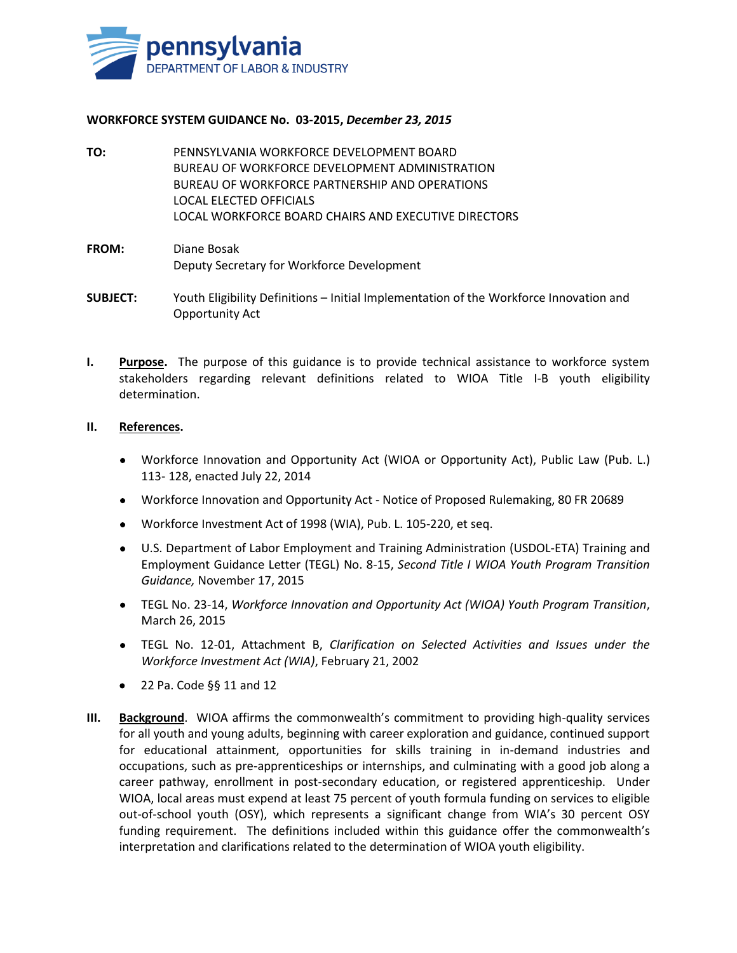

## **WORKFORCE SYSTEM GUIDANCE No. 03-2015,** *December 23, 2015*

**TO:** PENNSYLVANIA WORKFORCE DEVELOPMENT BOARD BUREAU OF WORKFORCE DEVELOPMENT ADMINISTRATION BUREAU OF WORKFORCE PARTNERSHIP AND OPERATIONS LOCAL ELECTED OFFICIALS LOCAL WORKFORCE BOARD CHAIRS AND EXECUTIVE DIRECTORS

## **FROM:** Diane Bosak Deputy Secretary for Workforce Development

- **SUBJECT:** Youth Eligibility Definitions Initial Implementation of the Workforce Innovation and Opportunity Act
- **I.** Purpose. The purpose of this guidance is to provide technical assistance to workforce system stakeholders regarding relevant definitions related to WIOA Title I-B youth eligibility determination.

## **II. References.**

- Workforce Innovation and Opportunity Act (WIOA or Opportunity Act), Public Law (Pub. L.) 113- 128, enacted July 22, 2014
- Workforce Innovation and Opportunity Act Notice of Proposed Rulemaking, 80 FR 20689
- Workforce Investment Act of 1998 (WIA), Pub. L. 105-220, et seq.
- U.S. Department of Labor Employment and Training Administration (USDOL-ETA) Training and Employment Guidance Letter (TEGL) No. 8-15, *Second Title I WIOA Youth Program Transition Guidance,* November 17, 2015
- TEGL No. 23-14, *Workforce Innovation and Opportunity Act (WIOA) Youth Program Transition*, March 26, 2015
- TEGL No. 12-01, Attachment B, *Clarification on Selected Activities and Issues under the Workforce Investment Act (WIA)*, February 21, 2002
- $\bullet$  22 Pa. Code §§ 11 and 12
- **III. Background**. WIOA affirms the commonwealth's commitment to providing high-quality services for all youth and young adults, beginning with career exploration and guidance, continued support for educational attainment, opportunities for skills training in in-demand industries and occupations, such as pre-apprenticeships or internships, and culminating with a good job along a career pathway, enrollment in post-secondary education, or registered apprenticeship. Under WIOA, local areas must expend at least 75 percent of youth formula funding on services to eligible out-of-school youth (OSY), which represents a significant change from WIA's 30 percent OSY funding requirement. The definitions included within this guidance offer the commonwealth's interpretation and clarifications related to the determination of WIOA youth eligibility.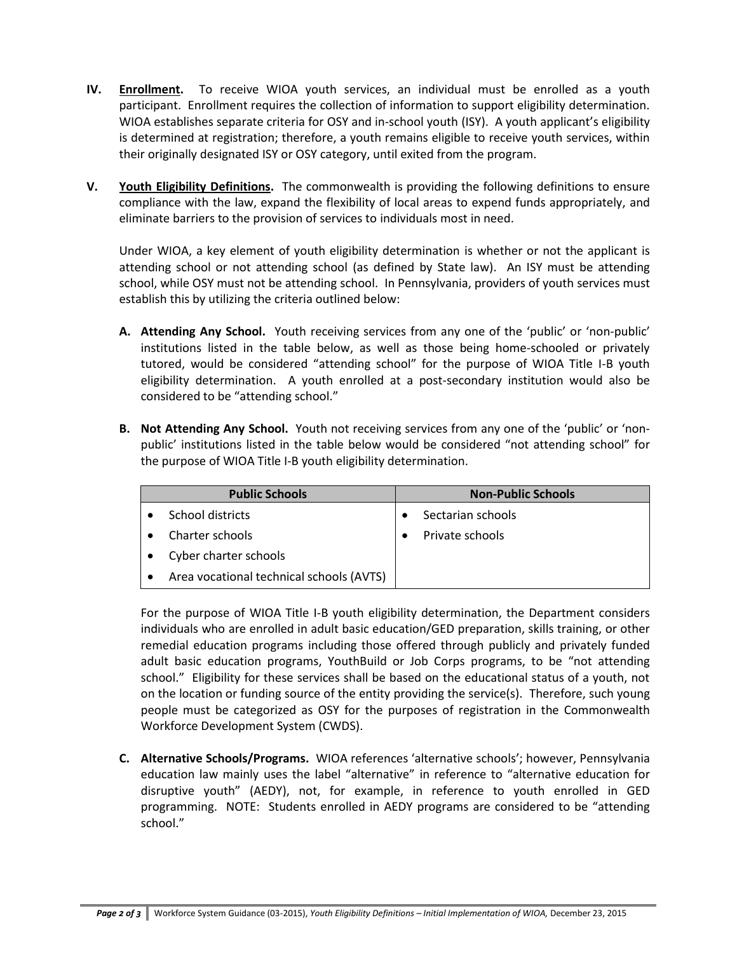- **IV. Enrollment.** To receive WIOA youth services, an individual must be enrolled as a youth participant. Enrollment requires the collection of information to support eligibility determination. WIOA establishes separate criteria for OSY and in-school youth (ISY). A youth applicant's eligibility is determined at registration; therefore, a youth remains eligible to receive youth services, within their originally designated ISY or OSY category, until exited from the program.
- **V. Youth Eligibility Definitions.** The commonwealth is providing the following definitions to ensure compliance with the law, expand the flexibility of local areas to expend funds appropriately, and eliminate barriers to the provision of services to individuals most in need.

Under WIOA, a key element of youth eligibility determination is whether or not the applicant is attending school or not attending school (as defined by State law). An ISY must be attending school, while OSY must not be attending school. In Pennsylvania, providers of youth services must establish this by utilizing the criteria outlined below:

- **A. Attending Any School.** Youth receiving services from any one of the 'public' or 'non-public' institutions listed in the table below, as well as those being home-schooled or privately tutored, would be considered "attending school" for the purpose of WIOA Title I-B youth eligibility determination. A youth enrolled at a post-secondary institution would also be considered to be "attending school."
- **B. Not Attending Any School.** Youth not receiving services from any one of the 'public' or 'nonpublic' institutions listed in the table below would be considered "not attending school" for the purpose of WIOA Title I-B youth eligibility determination.

| <b>Public Schools</b>                    | <b>Non-Public Schools</b> |
|------------------------------------------|---------------------------|
| School districts                         | Sectarian schools         |
| Charter schools                          | Private schools           |
| Cyber charter schools                    |                           |
| Area vocational technical schools (AVTS) |                           |

For the purpose of WIOA Title I-B youth eligibility determination, the Department considers individuals who are enrolled in adult basic education/GED preparation, skills training, or other remedial education programs including those offered through publicly and privately funded adult basic education programs, YouthBuild or Job Corps programs, to be "not attending school." Eligibility for these services shall be based on the educational status of a youth, not on the location or funding source of the entity providing the service(s). Therefore, such young people must be categorized as OSY for the purposes of registration in the Commonwealth Workforce Development System (CWDS).

**C. Alternative Schools/Programs.** WIOA references 'alternative schools'; however, Pennsylvania education law mainly uses the label "alternative" in reference to "alternative education for disruptive youth" (AEDY), not, for example, in reference to youth enrolled in GED programming. NOTE: Students enrolled in AEDY programs are considered to be "attending school."